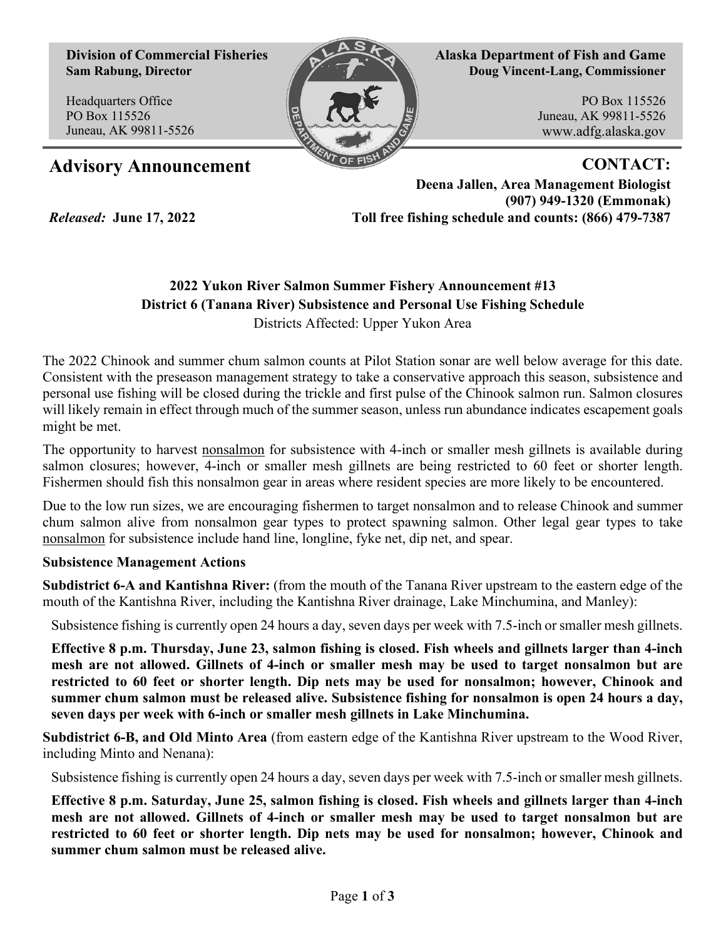**Division of Commercial Fisheries Sam Rabung, Director**

Headquarters Office PO Box 115526 Juneau, AK 99811-5526

*Released:* **June 17, 2022**



**Alaska Department of Fish and Game Doug Vincent-Lang, Commissioner**

> PO Box 115526 Juneau, AK 99811-5526 www.adfg.alaska.gov

# Advisory Announcement **CONTACT:**

**Deena Jallen, Area Management Biologist (907) 949-1320 (Emmonak) Toll free fishing schedule and counts: (866) 479-7387**

# **2022 Yukon River Salmon Summer Fishery Announcement #13 District 6 (Tanana River) Subsistence and Personal Use Fishing Schedule** Districts Affected: Upper Yukon Area

The 2022 Chinook and summer chum salmon counts at Pilot Station sonar are well below average for this date. Consistent with the preseason management strategy to take a conservative approach this season, subsistence and personal use fishing will be closed during the trickle and first pulse of the Chinook salmon run. Salmon closures will likely remain in effect through much of the summer season, unless run abundance indicates escapement goals might be met.

The opportunity to harvest nonsalmon for subsistence with 4-inch or smaller mesh gillnets is available during salmon closures; however, 4-inch or smaller mesh gillnets are being restricted to 60 feet or shorter length. Fishermen should fish this nonsalmon gear in areas where resident species are more likely to be encountered.

Due to the low run sizes, we are encouraging fishermen to target nonsalmon and to release Chinook and summer chum salmon alive from nonsalmon gear types to protect spawning salmon. Other legal gear types to take nonsalmon for subsistence include hand line, longline, fyke net, dip net, and spear.

# **Subsistence Management Actions**

**Subdistrict 6-A and Kantishna River:** (from the mouth of the Tanana River upstream to the eastern edge of the mouth of the Kantishna River, including the Kantishna River drainage, Lake Minchumina, and Manley):

Subsistence fishing is currently open 24 hours a day, seven days per week with 7.5-inch or smaller mesh gillnets.

**Effective 8 p.m. Thursday, June 23, salmon fishing is closed. Fish wheels and gillnets larger than 4-inch mesh are not allowed. Gillnets of 4-inch or smaller mesh may be used to target nonsalmon but are restricted to 60 feet or shorter length. Dip nets may be used for nonsalmon; however, Chinook and summer chum salmon must be released alive. Subsistence fishing for nonsalmon is open 24 hours a day, seven days per week with 6-inch or smaller mesh gillnets in Lake Minchumina.**

**Subdistrict 6-B, and Old Minto Area** (from eastern edge of the Kantishna River upstream to the Wood River, including Minto and Nenana):

Subsistence fishing is currently open 24 hours a day, seven days per week with 7.5-inch or smaller mesh gillnets.

**Effective 8 p.m. Saturday, June 25, salmon fishing is closed. Fish wheels and gillnets larger than 4-inch mesh are not allowed. Gillnets of 4-inch or smaller mesh may be used to target nonsalmon but are restricted to 60 feet or shorter length. Dip nets may be used for nonsalmon; however, Chinook and summer chum salmon must be released alive.**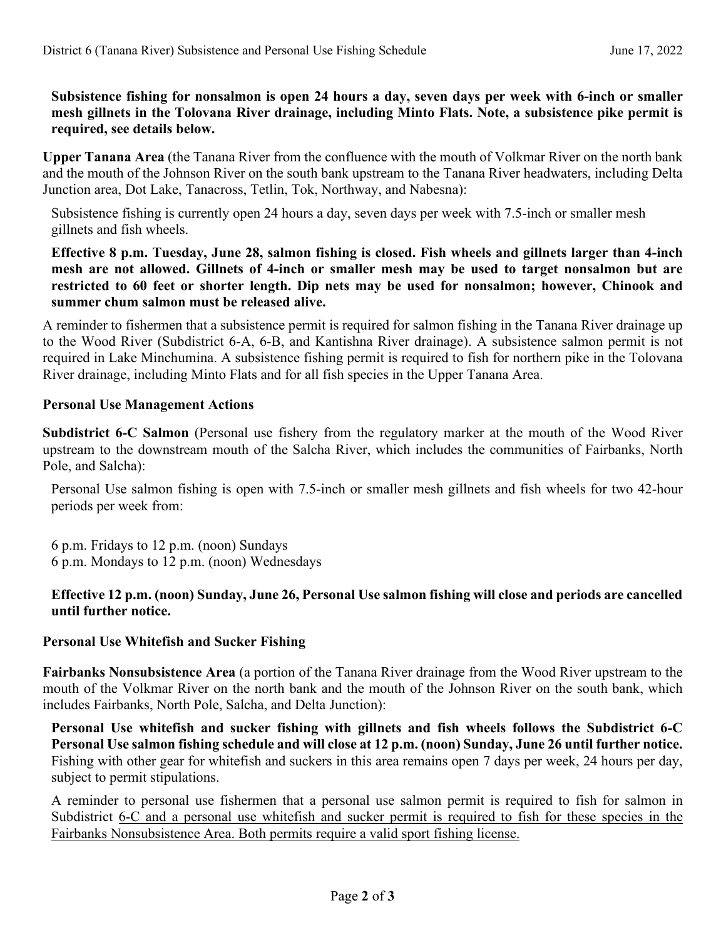# **Subsistence fishing for nonsalmon is open 24 hours a day, seven days per week with 6-inch or smaller mesh gillnets in the Tolovana River drainage, including Minto Flats. Note, a subsistence pike permit is required, see details below.**

**Upper Tanana Area** (the Tanana River from the confluence with the mouth of Volkmar River on the north bank and the mouth of the Johnson River on the south bank upstream to the Tanana River headwaters, including Delta Junction area, Dot Lake, Tanacross, Tetlin, Tok, Northway, and Nabesna):

Subsistence fishing is currently open 24 hours a day, seven days per week with 7.5-inch or smaller mesh gillnets and fish wheels.

#### **Effective 8 p.m. Tuesday, June 28, salmon fishing is closed. Fish wheels and gillnets larger than 4-inch mesh are not allowed. Gillnets of 4-inch or smaller mesh may be used to target nonsalmon but are restricted to 60 feet or shorter length. Dip nets may be used for nonsalmon; however, Chinook and summer chum salmon must be released alive.**

A reminder to fishermen that a subsistence permit is required for salmon fishing in the Tanana River drainage up to the Wood River (Subdistrict 6-A, 6-B, and Kantishna River drainage). A subsistence salmon permit is not required in Lake Minchumina. A subsistence fishing permit is required to fish for northern pike in the Tolovana River drainage, including Minto Flats and for all fish species in the Upper Tanana Area.

#### **Personal Use Management Actions**

**Subdistrict 6-C Salmon** (Personal use fishery from the regulatory marker at the mouth of the Wood River upstream to the downstream mouth of the Salcha River, which includes the communities of Fairbanks, North Pole, and Salcha):

Personal Use salmon fishing is open with 7.5-inch or smaller mesh gillnets and fish wheels for two 42-hour periods per week from:

6 p.m. Fridays to 12 p.m. (noon) Sundays 6 p.m. Mondays to 12 p.m. (noon) Wednesdays

#### **Effective 12 p.m. (noon) Sunday, June 26, Personal Use salmon fishing will close and periods are cancelled until further notice.**

# **Personal Use Whitefish and Sucker Fishing**

**Fairbanks Nonsubsistence Area** (a portion of the Tanana River drainage from the Wood River upstream to the mouth of the Volkmar River on the north bank and the mouth of the Johnson River on the south bank, which includes Fairbanks, North Pole, Salcha, and Delta Junction):

**Personal Use whitefish and sucker fishing with gillnets and fish wheels follows the Subdistrict 6-C Personal Use salmon fishing schedule and will close at 12 p.m. (noon) Sunday, June 26 until further notice.**  Fishing with other gear for whitefish and suckers in this area remains open 7 days per week, 24 hours per day, subject to permit stipulations.

A reminder to personal use fishermen that a personal use salmon permit is required to fish for salmon in Subdistrict 6-C and a personal use whitefish and sucker permit is required to fish for these species in the Fairbanks Nonsubsistence Area. Both permits require a valid sport fishing license.